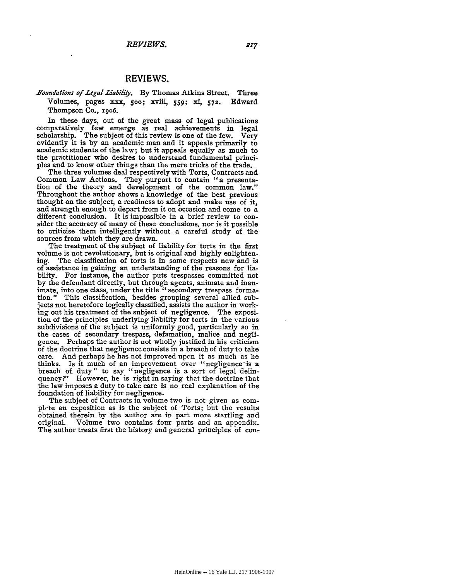## REVIEWS. REVIEWS.

## *Foundations of Legal Liabilit.* **By** Thomas Atkins Street. Three *Foundations of Legal* Liabil~ty. By Thomas Atkins Street. Three Volumes, pages **xxx, 5oo;** xviii, *559;* **xi, 572.** Edward Volumes, pages xxx, 500; xviii, 559; xi, 572. Edward Thompson Co., x9o6. Thompson Co., 1906.

In these days, out of the great mass of legal publications<br>comparatively few emerge as real achievements in legal<br>scholarship. The subject of this review is one of the few. Very<br>evidently it is by an academic man and it ap academic students of the law; but it appeals equally as much to academic students of the law; but it appeals equally as much to the practitioner who desires to understand fundamental princi- ples and to know other things than the mere tricks of the trade. the practitioner who desires to understand fundamental princi-In these days, out of the great mass of legal publications comparatively few emerge as real achievements in legal scholarship. The subject of this review is one of the few. Very evidently it is by an academic man and it appeals primarily to ples and to know other things than the mere tricks of the trade.

The three volumes deal respectively with Torts, Contracts and The three volumes deal respectively with Torts, Contracts and Common Law Actions. They purport to contain "a presenta- tion of the theory and development of the common law." tion of the theory and development of the common law." Throughout the author shows a knowledge of the best previous thought on the subject, a readiness to adopt and make use of it, Throughout the author shows a knowledge of the best previous and strength enough to depart from it on occasion and come to a and strength enough to depart from it on occasion and come to a different conclusion. It is impossible in a brief review to con-different conclusion. It is impossible in a brief review to consider the accuracy of many of these conclusions, nor is it possible to criticise them intelligently without a careful study of **the** to criticise them intelligently without a careful study of the sources from which they are drawn. sources from which they are drawn. Common Law Actions. They purport to contain "a presentathought on the subject, a readiness to adopt and make use of it, sider the accuracy of many of these conclusions, nor is it possible

The treatment of the subject of liability for torts in the first The treatment of the subject of liability for torts in the first volume is not revolutionary, but is original and highly enlighten-<br>ing. The classification of torts is in some respects new and is of assistance in gaining an understanding of the reasons for lia-of assistance in gaining an understanding of the reasons for liability. For instance, the author puts trespasses committed not bility. For instance, the author puts trespasses committed not **by** the defendant directly, but through agents, animate and inan-by the defendant directly, but through agents, animate and inanby the detendant directly, but intough agents, annual and man-<br>imate, into one class, under the title "secondary trespass formaimate, into one class, under the title "secondary trespass forma-<br>tion." This classification, besides grouping several allied subtion." This classification, besides grouping several allied sub-<br>jects not heretofore logically classified, assists the author in working out his treatment of the subject of negligence. The exposition of the principles underlying liability for torts in the various subdivisions of the subject is uniformly good, particularly so in subdivisions of the subject is uniformly good, particularly so in the cases of secondary trespass, defamation, malice and negli-the cases of secondary trespass, defamation, malice and negligence. Perhaps the author is not wholly justified in his criticism gence. Perhaps the author is not wholly justified in his criticism of the doctrine that negligencc consists in a breach of duty to take of the doctrine that negligencc consists in a breach of duty to take care. And perhaps he has not improved upcn it as much as he care. And perhaps he has not improved uprn it as much as he thinks. Is it much of an improvement over "negligenceis a breach of duty" to say "negligence is a sort of legal delinquency?" However, he is right in saying that the doctrine that the law imposes a duty to take care is no real explanation of the the law imposes a duty to take care is no real explanation of the foundation of liability for negligence. foundation of liability for negligence. ing. The classification of torts is in some respects new and is jects not heretofore logically classified, assists the author in worktion of the principles underlying liability for torts in the various thinks. Is it much of an improvement over "negligence-is a breach of duty" to say "negligence is a sort of legal delinquency?" However, he is right in saying that the doctrine that

The subject of Contracts in volume two is not given as com-The subject of Contracts in volume two is not given as com**pl-'te** an exposition as is the subject of Torts; but the results pkte an exposition as is the subject of Torts; but the results obtained therein **by** the author are in part more startling and obtained therein by the author are in part more startling and original. Volume two contains four parts and an appendix. The author treats first the history and general principles of con-The author treats first the history and general principles of conoriginal. Volume two contains four parts and an appendix.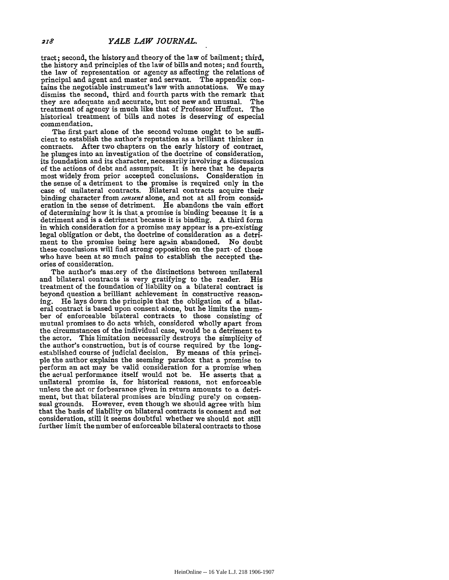tract; second, the history and theory of the law of bailment; third, the history and principles of the law of bills and notes; and fourth the history and principles of the law of bills and notes; and fourth,<br>the law of representation or agency as affecting the relations of the law of representation or agency as affecting the relations of<br>representation or agency as affecting the enpendix conprincipal and agent and master and servant. The appendix con-<br>principal and agent and master and servant. The appendix contains the negotiable instrument's law with annotations. We may<br>dismise the second third and fourth parts with the remark that dismiss the second, third and fourth parts with the remark that<br>they are adequate and equivale but not new and unusual. The they are adequate and accurate, but not new and unusual. The<br>treatment of agency is much like that of Professor Huffout. The treatment of agency is much like that of Professor Huffcut. The<br>historical treatment of bills and notes is decenving of especial historical treatment of bills and notes is deserving of especial historical treatment of bills and notes is deserving of especial commendation.

commendation.<br>The first part alone of the second volume ought to be suffi-<br>control ortablish the outbox's reputation as a brilliant thinker in cient to establish the author's reputation as a brilliant thinker in<br>contracts. After two chanters on the early history of contract contracts. After two chapters on the early history of contract,<br>he plunges into an investigation of the doctrine of consideration he plunges into an investigation of the doctrine of consideration,<br>its foundation and its character, necessarily involving a discussion its foundation and its character, necessarily involving a discussion<br>of the actions of debt and assumes it. It is bere that he departs of the actions of debt and assumpsit. It is here that he departs most widely from prior accepted conclusions. Consideration in<br>the sanse of a detriment to the promise is required only in the the sense of a detriment to the promise is required only in the sense of a detriment to the promise is required only in the case of unilateral contracts. Bilateral contracts acquire their<br>hinding oberactor from execut alone, and not at all from equal binding character from *consent* alone, and not at all from consideration in the general determinant. He abandons the vain offert eration in the sense of detriment. He abandons the vain effort<br>of determining how it is that a promise is hinding because it is a of determining how it is that a promise is binding because it is a<br>detriment and is a detriment because it is binding  $\Lambda$  third farm detriment and is a detriment because it is binding. A third form<br>in which consideration for a promise may appear is a pre-evisiting in which consideration for a promise may appear is a pre-existing<br>large obligation or dabt, the dootrine of consideration as a dotrilegal obligation or debt, the doctrine of consideration as a detri-<br>ment to the promise being here again abandoned. No doubt ment to the promise being here again abandoned. No doubt<br>these conclusions will find attents opposition on the part of these these conclusions will find strong opposition on the part of those who have been at so much pains to establish the accepted theories of consideration. ories of consideration.

The author's mas ery of the distinctions between unilateral<br>Unilateral contracts is now matifying to the goaler. His and bilateral contracts is very gratifying to the reader. His treatment of the foundation of liability on a bilateral contract is<br>housed quotien a brilliant sebievement in constructive recess beyond question a brilliant achievement in constructive reason-beyond question <sup>a</sup> brilliant achievement in constructive ing. He lays down the principle that the obligation of <sup>a</sup> bilating. He lays down the principle that the obligation of a bilateral contract is based upon consent alone, but he limits the numeral contract is based upon consent alone, but he limits the num-<br>ber of enforceable bilateral contracts to those consisting of<br>mutual promises to do acts which, considered wholly apart from mutual promises to do acts which, considercd wholly apart from the circumstances of the individual case, would be a detriment to<br>the ceter. This limitation peoseesnily destroys the simplicity of the actor. This limitation necessarily destroys the simplicity of the actor. This limitation necessarily destroys the simplicity of<br>the author's construction, but is of course required by the long-<br>established course of indicial designation. By means of this grip is established course of judicial decision. By means of this princi-established course of judicial decision. By means of this principle the author explains the seeming paradox that a promise to perform an act may be valid consideration for a promise when perform an act may be valid consideration for a promise when<br>the actual performance itself would not be. He asserts that a<br>unilateral promise is for bistorical resears, not opfereeable unilateral promise is, for historical reasons, not enforceable unilateral promise is, for historical reasons, not enforceable unless the act or forbearance given in return amounts to a detri-<br>ment, but that bilateral premises are birding outsing a guaranteed ment, but that bilateral promises are binding pure'y on consen-<br>melodiate However, even though we should cause with him sual grounds. However, even though we should agree with him that the basis of liability on bilateral contracts is consent and not<br>consideration, still it seems doubtful whether we should not still consideration, still it seems doubtful whether we should not still consideration, still it seems doubtful whether we should not still further limit the number of enforceable bilateral contracts to those further limit the number of enforceable bilateral contracts to those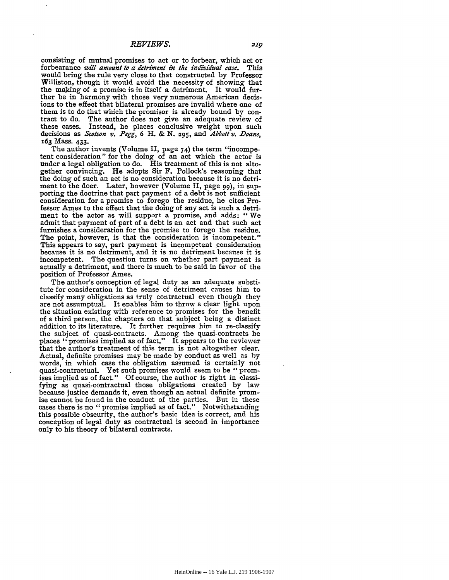consisting of mutual promises to act or to forbear, which act or consisting of mutual promises to act or to forbear, which act or forbearance *will amount to a detriment in the individual case.* This forbearance *wz71 amount to a detriment in the individual case.* This would bring the rule very close to that constructed **by** Professor would bring the rule very close to that constructed by Professor Williston, though it would avoid the necessity of showing that Williston, though it would avoid the necessity of showing that the making of a promise is in itself a detriment. It would further be in harmony with those very numerous American decis-ther be in harmony with those very numerous American decis. ions to the effect that bilateral promises are invalid where one of them is to do that which the promisor is already bound by contract to do. The author does not give an adequate review of these cases. Instead, he places conclusive weight upon such these cases. Instead, he places conclusive weight upon such decisions as *Scotson v. Pegg,* **6** H. & N. **295,** and *Abbott v. Doane,* decisions as *Seotson v. Pegg,* 6 H. & N. 295, and *Abbott v. Doane,* 163 Mass. 433. 163 Mass. 433.

The author invents (Volume II, page 74) the term "incompe-The author invents (Volume II, page 74) the term "incompetent consideration" for the doing of an act which the actor is under a legal obligation to do. His treatment of this is not alto-under a legal obligation to do. His treatment of this is not altogether convincing. He adopts Sir F. Pollock's reasoning that gether convincing. He adopts Sir F. Pollock's reasoning that the doing of such an act is no consideration because it is no detri-the doing of such an act is no consideration because it is no detri· ment to the doer. Later, however (Volume II, page **99),** in sup-ment to the doer. Later, however (Volume II, page 99), in supporting the doctrine that part payment of a debt is not sufficient porting the doctrine that part payment of a debt is not sufficient consideration for a promise to forego the residue, he cites Pro-consideration for a promise to forego the residue, he cites Professor Ames to the effect that the doing of any act is such a detriment to the actor as will support a promise, and adds: "We admit that payment of part of a debt is an act and that such act admit that payment of part of a debt is an act and that such act furnishes a consideration for the promise to forego the residue. furnishes a consideration for the promise to forego the residue. The point, however, is that the consideration is incompetent." The point, however, is that the consideration is incompetent." This appears to say, part payment is incompetent consideration This appears to say, part payment is incompetent .consideration because it is no detriment, and it is no detriment because it is because it is no detriment, and it is no detriment because it is incompetent. The question turns on whether part payment is incompetent. The question turns on whether part payment is actually a detriment, and there is much to be said in favor of the actually a detriment, and there is much to be said in favor of the position of Professor Ames. position of Professor Ames.

The author's conception of legal duty as an adequate substi-The author's conception of legal duty as an adequate substitute for consideration in the sense of detriment causes him to classify many obligations as truly contractual even though they classify many obligations as truly contractual even though they are not assumptual. It enables him to throw a clear light upon are not assumptual. It enables him to throw a clear light upon the situation existing with reference to promises for the benefit the situation existing with reference to promises for the benefit of a third person, the chapters on that subject being a distinct of a third person, the chapters on that subject being a distinct addition to its literature. It further requires him to re-classify the subject of quasi-contracts. Among the quasi-contracts he the subject of quasi-contracts. Among the quasi-contracts he places " promises implied as of fact." It appears to the reviewer that the author's treatment of this term is not altogether clear. that the author's treatment of this term is not altogether clear.Actual, definite promises may be made by conduct as well as by Actual, definite promises may be made by conduct as well as **by** words, in which case the obligation assumed is certainly not quasi-contractual. Yet such promises would seem to be "promises implied as of fact." Of course, the author is right in classifying as quasi-contractual those obligations created **by** law fying as quasi-contractual those obligations created by law because justice demands it, even though an actual definite prom-because justice demands it, even though an actual definite promise cannot be found in the conduct of the parties. But in these ise cannot be found in the conduct of the parties. But in these cases there is no "promise implied as of fact." Notwithstanding this possible obscurity, the author's basic idea is correct, and his this possible obscurity, the author's basic idea is correct, and his conception of legal duty as contractual is second in importance<br>only to his theory of bilateral contracts. only to his theory of bilateral contracts. words, in which case the obligation assumed is certainly not quasi-contractual. Yet such promises would seem to be "prom-